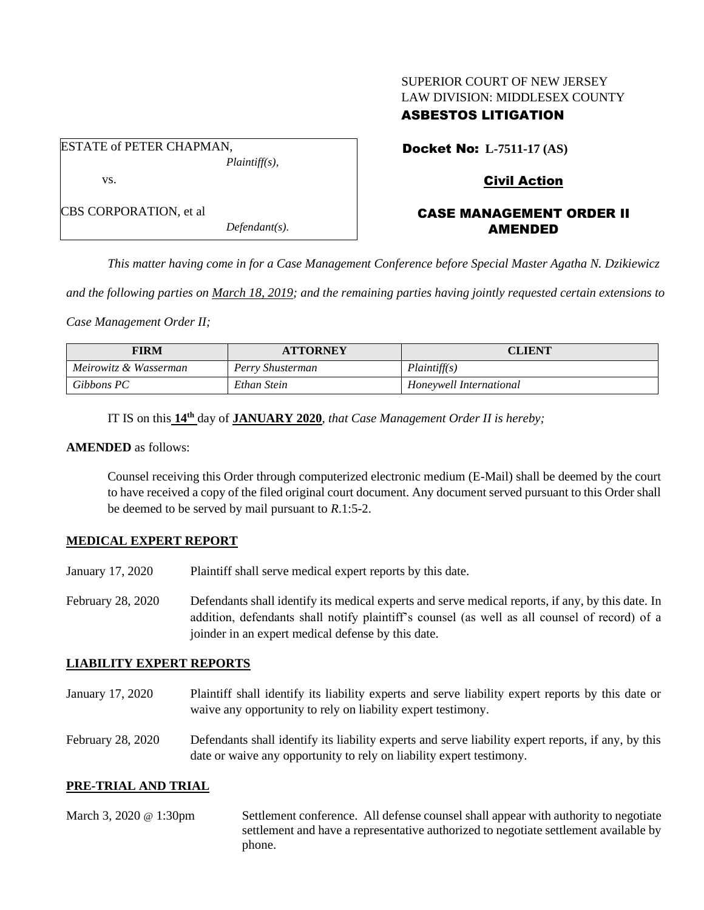# SUPERIOR COURT OF NEW JERSEY LAW DIVISION: MIDDLESEX COUNTY

## ASBESTOS LITIGATION

ESTATE of PETER CHAPMAN, *Plaintiff(s),* vs. CBS CORPORATION, et al

*Defendant(s).*

Docket No: **L-7511-17 (AS)**

## Civil Action

## CASE MANAGEMENT ORDER II AMENDED

*This matter having come in for a Case Management Conference before Special Master Agatha N. Dzikiewicz* 

*and the following parties on March 18, 2019; and the remaining parties having jointly requested certain extensions to* 

*Case Management Order II;*

| <b>FIRM</b>           | <b>ATTORNEY</b>  | CLIENT                  |
|-----------------------|------------------|-------------------------|
| Meirowitz & Wasserman | Perry Shusterman | Plaintiff(s)            |
| Gibbons PC            | Ethan Stein      | Honeywell International |

IT IS on this  $14^{\text{th}}$  day of **JANUARY 2020**, *that Case Management Order II is hereby*;

#### **AMENDED** as follows:

Counsel receiving this Order through computerized electronic medium (E-Mail) shall be deemed by the court to have received a copy of the filed original court document. Any document served pursuant to this Order shall be deemed to be served by mail pursuant to *R*.1:5-2.

#### **MEDICAL EXPERT REPORT**

- January 17, 2020 Plaintiff shall serve medical expert reports by this date.
- February 28, 2020 Defendants shall identify its medical experts and serve medical reports, if any, by this date. In addition, defendants shall notify plaintiff's counsel (as well as all counsel of record) of a joinder in an expert medical defense by this date.

## **LIABILITY EXPERT REPORTS**

- January 17, 2020 Plaintiff shall identify its liability experts and serve liability expert reports by this date or waive any opportunity to rely on liability expert testimony.
- February 28, 2020 Defendants shall identify its liability experts and serve liability expert reports, if any, by this date or waive any opportunity to rely on liability expert testimony.

## **PRE-TRIAL AND TRIAL**

March 3, 2020 @ 1:30pm Settlement conference. All defense counsel shall appear with authority to negotiate settlement and have a representative authorized to negotiate settlement available by phone.